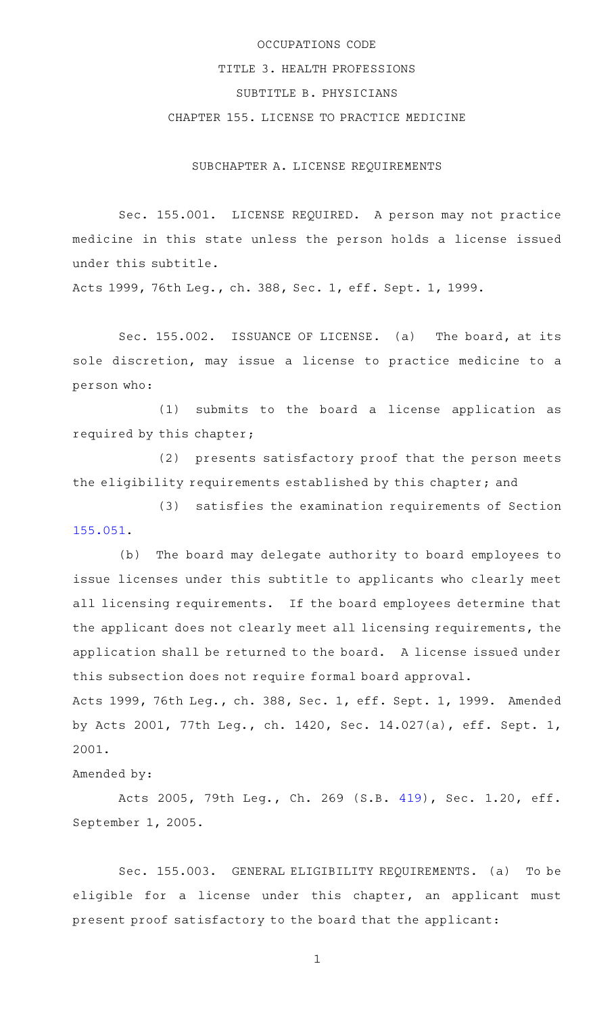# OCCUPATIONS CODE TITLE 3. HEALTH PROFESSIONS SUBTITLE B. PHYSICIANS CHAPTER 155. LICENSE TO PRACTICE MEDICINE

SUBCHAPTER A. LICENSE REQUIREMENTS

Sec. 155.001. LICENSE REQUIRED. A person may not practice medicine in this state unless the person holds a license issued under this subtitle.

Acts 1999, 76th Leg., ch. 388, Sec. 1, eff. Sept. 1, 1999.

Sec. 155.002. ISSUANCE OF LICENSE. (a) The board, at its sole discretion, may issue a license to practice medicine to a person who:

(1) submits to the board a license application as required by this chapter;

(2) presents satisfactory proof that the person meets the eligibility requirements established by this chapter; and

(3) satisfies the examination requirements of Section [155.051.](https://statutes.capitol.texas.gov/GetStatute.aspx?Code=OC&Value=155.051)

(b) The board may delegate authority to board employees to issue licenses under this subtitle to applicants who clearly meet all licensing requirements. If the board employees determine that the applicant does not clearly meet all licensing requirements, the application shall be returned to the board. A license issued under this subsection does not require formal board approval.

Acts 1999, 76th Leg., ch. 388, Sec. 1, eff. Sept. 1, 1999. Amended by Acts 2001, 77th Leg., ch. 1420, Sec. 14.027(a), eff. Sept. 1, 2001.

Amended by:

Acts 2005, 79th Leg., Ch. 269 (S.B. [419](http://www.legis.state.tx.us/tlodocs/79R/billtext/html/SB00419F.HTM)), Sec. 1.20, eff. September 1, 2005.

Sec. 155.003. GENERAL ELIGIBILITY REQUIREMENTS. (a) To be eligible for a license under this chapter, an applicant must present proof satisfactory to the board that the applicant: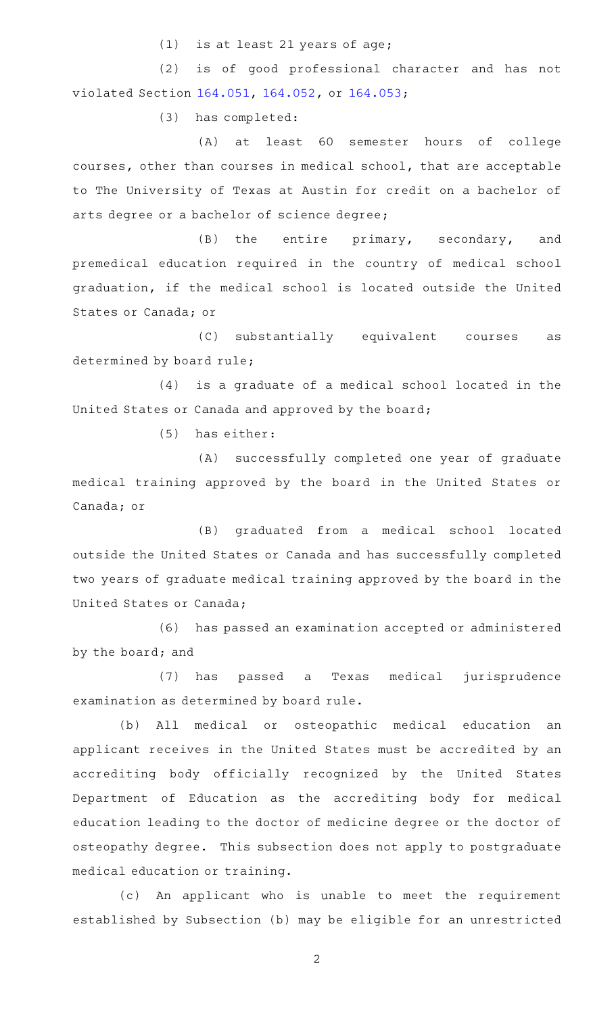(1) is at least 21 years of age;

(2) is of good professional character and has not violated Section [164.051](https://statutes.capitol.texas.gov/GetStatute.aspx?Code=OC&Value=164.051), [164.052,](https://statutes.capitol.texas.gov/GetStatute.aspx?Code=OC&Value=164.052) or [164.053](https://statutes.capitol.texas.gov/GetStatute.aspx?Code=OC&Value=164.053);

(3) has completed:

(A) at least 60 semester hours of college courses, other than courses in medical school, that are acceptable to The University of Texas at Austin for credit on a bachelor of arts degree or a bachelor of science degree;

 $(B)$  the entire primary, secondary, and premedical education required in the country of medical school graduation, if the medical school is located outside the United States or Canada; or

(C) substantially equivalent courses as determined by board rule;

 $(4)$  is a graduate of a medical school located in the United States or Canada and approved by the board;

 $(5)$  has either:

(A) successfully completed one year of graduate medical training approved by the board in the United States or Canada; or

(B) graduated from a medical school located outside the United States or Canada and has successfully completed two years of graduate medical training approved by the board in the United States or Canada;

(6) has passed an examination accepted or administered by the board; and

(7) has passed a Texas medical jurisprudence examination as determined by board rule.

(b) All medical or osteopathic medical education an applicant receives in the United States must be accredited by an accrediting body officially recognized by the United States Department of Education as the accrediting body for medical education leading to the doctor of medicine degree or the doctor of osteopathy degree. This subsection does not apply to postgraduate medical education or training.

(c) An applicant who is unable to meet the requirement established by Subsection (b) may be eligible for an unrestricted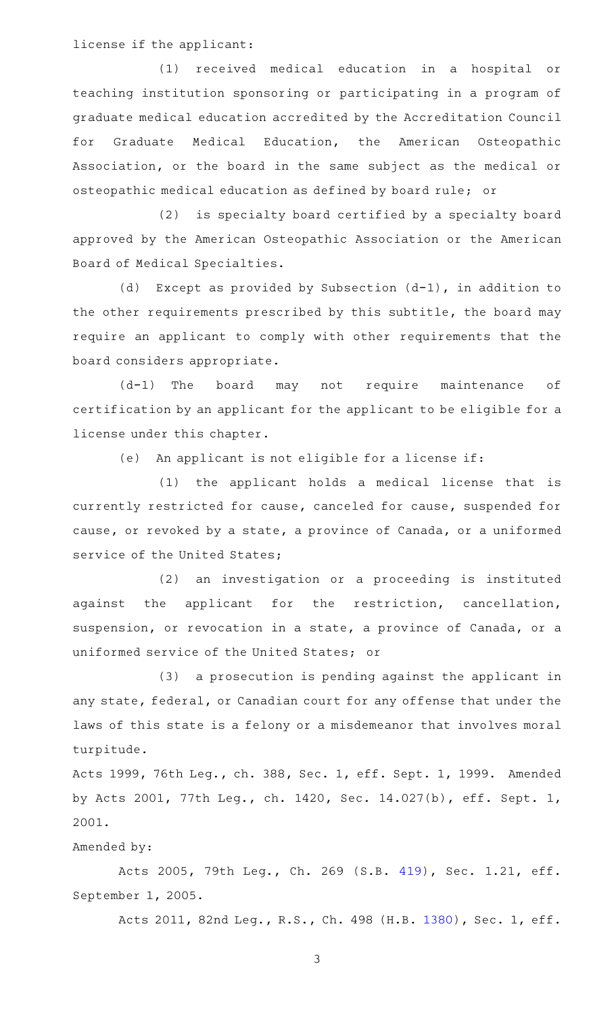license if the applicant:

(1) received medical education in a hospital or teaching institution sponsoring or participating in a program of graduate medical education accredited by the Accreditation Council for Graduate Medical Education, the American Osteopathic Association, or the board in the same subject as the medical or osteopathic medical education as defined by board rule; or

(2) is specialty board certified by a specialty board approved by the American Osteopathic Association or the American Board of Medical Specialties.

(d) Except as provided by Subsection  $(d-1)$ , in addition to the other requirements prescribed by this subtitle, the board may require an applicant to comply with other requirements that the board considers appropriate.

 $(d-1)$  The board may not require maintenance of certification by an applicant for the applicant to be eligible for a license under this chapter.

(e) An applicant is not eligible for a license if:

(1) the applicant holds a medical license that is currently restricted for cause, canceled for cause, suspended for cause, or revoked by a state, a province of Canada, or a uniformed service of the United States;

(2) an investigation or a proceeding is instituted against the applicant for the restriction, cancellation, suspension, or revocation in a state, a province of Canada, or a uniformed service of the United States; or

(3) a prosecution is pending against the applicant in any state, federal, or Canadian court for any offense that under the laws of this state is a felony or a misdemeanor that involves moral turpitude.

Acts 1999, 76th Leg., ch. 388, Sec. 1, eff. Sept. 1, 1999. Amended by Acts 2001, 77th Leg., ch. 1420, Sec. 14.027(b), eff. Sept. 1, 2001.

## Amended by:

Acts 2005, 79th Leg., Ch. 269 (S.B. [419](http://www.legis.state.tx.us/tlodocs/79R/billtext/html/SB00419F.HTM)), Sec. 1.21, eff. September 1, 2005.

Acts 2011, 82nd Leg., R.S., Ch. 498 (H.B. [1380](http://www.legis.state.tx.us/tlodocs/82R/billtext/html/HB01380F.HTM)), Sec. 1, eff.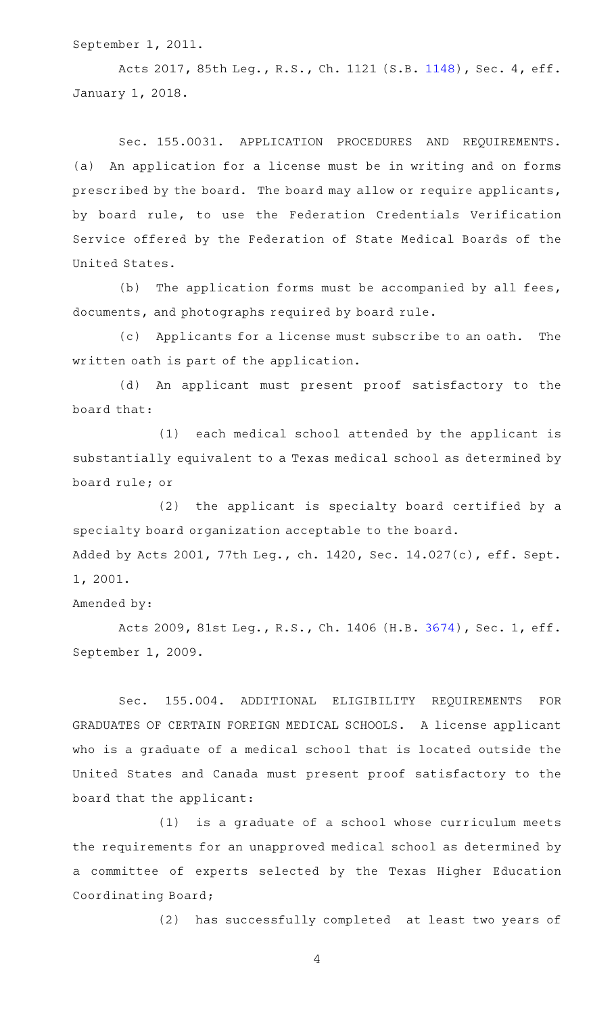September 1, 2011.

Acts 2017, 85th Leg., R.S., Ch. 1121 (S.B. [1148](http://www.legis.state.tx.us/tlodocs/85R/billtext/html/SB01148F.HTM)), Sec. 4, eff. January 1, 2018.

Sec. 155.0031. APPLICATION PROCEDURES AND REQUIREMENTS. (a) An application for a license must be in writing and on forms prescribed by the board. The board may allow or require applicants, by board rule, to use the Federation Credentials Verification Service offered by the Federation of State Medical Boards of the United States.

(b) The application forms must be accompanied by all fees, documents, and photographs required by board rule.

(c) Applicants for a license must subscribe to an oath. The written oath is part of the application.

(d) An applicant must present proof satisfactory to the board that:

(1) each medical school attended by the applicant is substantially equivalent to a Texas medical school as determined by board rule; or

(2) the applicant is specialty board certified by a specialty board organization acceptable to the board. Added by Acts 2001, 77th Leg., ch. 1420, Sec. 14.027(c), eff. Sept. 1, 2001.

Amended by:

Acts 2009, 81st Leg., R.S., Ch. 1406 (H.B. [3674](http://www.legis.state.tx.us/tlodocs/81R/billtext/html/HB03674F.HTM)), Sec. 1, eff. September 1, 2009.

Sec. 155.004. ADDITIONAL ELIGIBILITY REQUIREMENTS FOR GRADUATES OF CERTAIN FOREIGN MEDICAL SCHOOLS. A license applicant who is a graduate of a medical school that is located outside the United States and Canada must present proof satisfactory to the board that the applicant:

 $(1)$  is a graduate of a school whose curriculum meets the requirements for an unapproved medical school as determined by a committee of experts selected by the Texas Higher Education Coordinating Board;

(2) has successfully completed at least two years of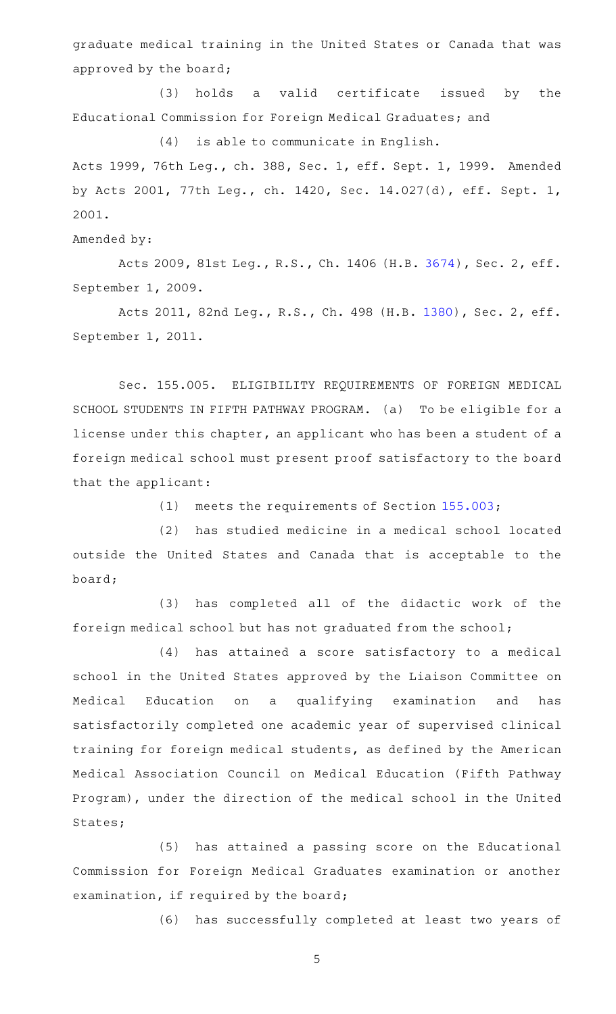graduate medical training in the United States or Canada that was approved by the board;

(3) holds a valid certificate issued by the Educational Commission for Foreign Medical Graduates; and

 $(4)$  is able to communicate in English.

Acts 1999, 76th Leg., ch. 388, Sec. 1, eff. Sept. 1, 1999. Amended by Acts 2001, 77th Leg., ch. 1420, Sec. 14.027(d), eff. Sept. 1, 2001.

Amended by:

Acts 2009, 81st Leg., R.S., Ch. 1406 (H.B. [3674](http://www.legis.state.tx.us/tlodocs/81R/billtext/html/HB03674F.HTM)), Sec. 2, eff. September 1, 2009.

Acts 2011, 82nd Leg., R.S., Ch. 498 (H.B. [1380](http://www.legis.state.tx.us/tlodocs/82R/billtext/html/HB01380F.HTM)), Sec. 2, eff. September 1, 2011.

Sec. 155.005. ELIGIBILITY REQUIREMENTS OF FOREIGN MEDICAL SCHOOL STUDENTS IN FIFTH PATHWAY PROGRAM. (a) To be eligible for a license under this chapter, an applicant who has been a student of a foreign medical school must present proof satisfactory to the board that the applicant:

(1) meets the requirements of Section  $155.003$ ;

(2) has studied medicine in a medical school located outside the United States and Canada that is acceptable to the board;

(3) has completed all of the didactic work of the foreign medical school but has not graduated from the school;

(4) has attained a score satisfactory to a medical school in the United States approved by the Liaison Committee on Medical Education on a qualifying examination and has satisfactorily completed one academic year of supervised clinical training for foreign medical students, as defined by the American Medical Association Council on Medical Education (Fifth Pathway Program), under the direction of the medical school in the United States;

(5) has attained a passing score on the Educational Commission for Foreign Medical Graduates examination or another examination, if required by the board;

(6) has successfully completed at least two years of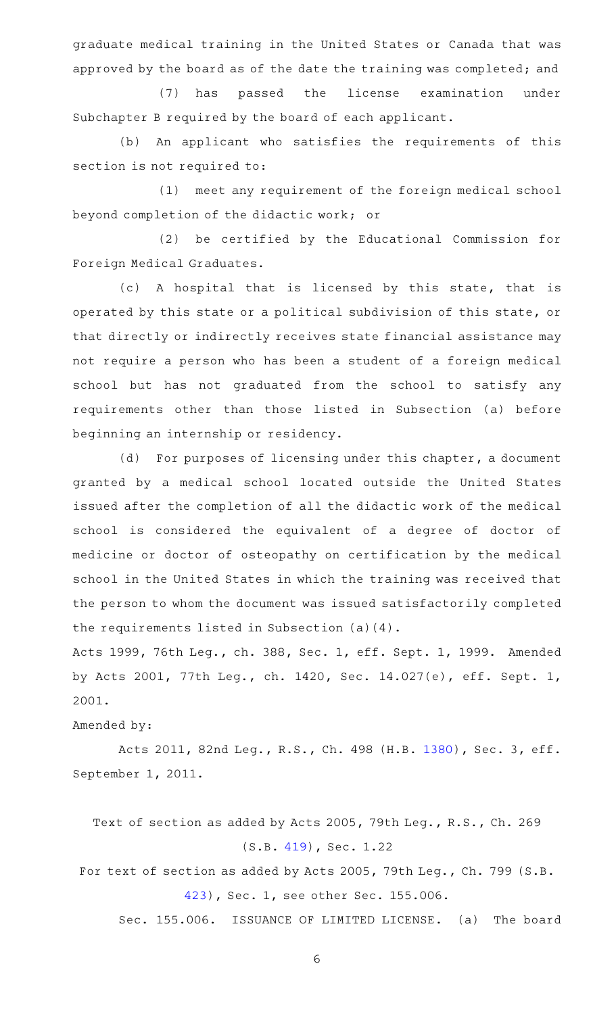graduate medical training in the United States or Canada that was approved by the board as of the date the training was completed; and

(7) has passed the license examination under Subchapter B required by the board of each applicant.

(b) An applicant who satisfies the requirements of this section is not required to:

(1) meet any requirement of the foreign medical school beyond completion of the didactic work; or

(2) be certified by the Educational Commission for Foreign Medical Graduates.

(c)AAA hospital that is licensed by this state, that is operated by this state or a political subdivision of this state, or that directly or indirectly receives state financial assistance may not require a person who has been a student of a foreign medical school but has not graduated from the school to satisfy any requirements other than those listed in Subsection (a) before beginning an internship or residency.

(d) For purposes of licensing under this chapter, a document granted by a medical school located outside the United States issued after the completion of all the didactic work of the medical school is considered the equivalent of a degree of doctor of medicine or doctor of osteopathy on certification by the medical school in the United States in which the training was received that the person to whom the document was issued satisfactorily completed the requirements listed in Subsection (a)(4).

Acts 1999, 76th Leg., ch. 388, Sec. 1, eff. Sept. 1, 1999. Amended by Acts 2001, 77th Leg., ch. 1420, Sec. 14.027(e), eff. Sept. 1, 2001.

Amended by:

Acts 2011, 82nd Leg., R.S., Ch. 498 (H.B. [1380](http://www.legis.state.tx.us/tlodocs/82R/billtext/html/HB01380F.HTM)), Sec. 3, eff. September 1, 2011.

Text of section as added by Acts 2005, 79th Leg., R.S., Ch. 269 (S.B. [419\)](http://www.legis.state.tx.us/tlodocs/79R/billtext/html/SB00419F.HTM), Sec. 1.22

For text of section as added by Acts 2005, 79th Leg., Ch. 799 (S.B. [423\)](http://www.legis.state.tx.us/tlodocs/79R/billtext/html/SB00423F.HTM), Sec. 1, see other Sec. 155.006.

Sec. 155.006. ISSUANCE OF LIMITED LICENSE. (a) The board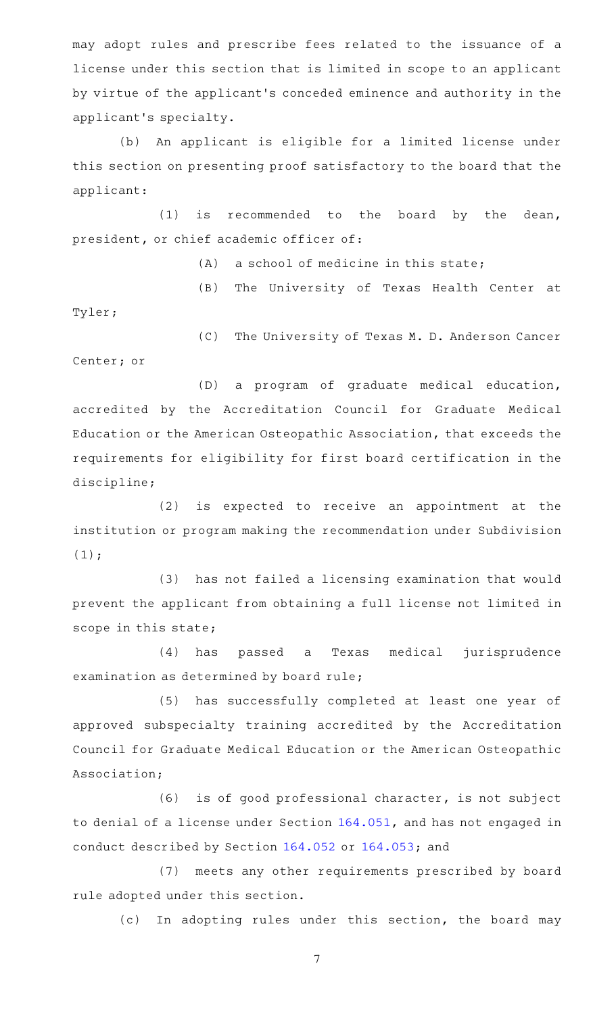may adopt rules and prescribe fees related to the issuance of a license under this section that is limited in scope to an applicant by virtue of the applicant 's conceded eminence and authority in the applicant 's specialty.

(b) An applicant is eligible for a limited license under this section on presenting proof satisfactory to the board that the applicant:

 $(1)$  is recommended to the board by the dean, president, or chief academic officer of:

 $(A)$  a school of medicine in this state;

(B) The University of Texas Health Center at

Tyler;

(C) The University of Texas M. D. Anderson Cancer Center; or

(D) a program of graduate medical education, accredited by the Accreditation Council for Graduate Medical Education or the American Osteopathic Association, that exceeds the requirements for eligibility for first board certification in the discipline;

 $(2)$  is expected to receive an appointment at the institution or program making the recommendation under Subdivision  $(1);$ 

(3) has not failed a licensing examination that would prevent the applicant from obtaining a full license not limited in scope in this state;

(4) has passed a Texas medical jurisprudence examination as determined by board rule;

(5) has successfully completed at least one year of approved subspecialty training accredited by the Accreditation Council for Graduate Medical Education or the American Osteopathic Association;

(6) is of good professional character, is not subject to denial of a license under Section [164.051](https://statutes.capitol.texas.gov/GetStatute.aspx?Code=OC&Value=164.051), and has not engaged in conduct described by Section [164.052](https://statutes.capitol.texas.gov/GetStatute.aspx?Code=OC&Value=164.052) or [164.053;](https://statutes.capitol.texas.gov/GetStatute.aspx?Code=OC&Value=164.053) and

(7) meets any other requirements prescribed by board rule adopted under this section.

(c) In adopting rules under this section, the board may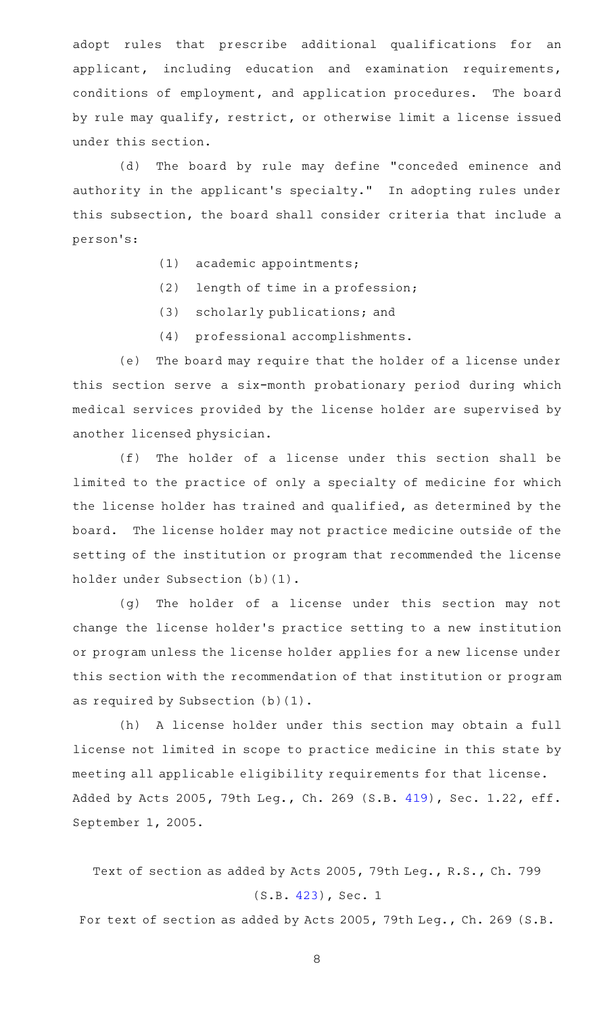adopt rules that prescribe additional qualifications for an applicant, including education and examination requirements, conditions of employment, and application procedures. The board by rule may qualify, restrict, or otherwise limit a license issued under this section.

(d) The board by rule may define "conceded eminence and authority in the applicant's specialty." In adopting rules under this subsection, the board shall consider criteria that include a person 's:

- $(1)$  academic appointments;
- $(2)$  length of time in a profession;
- (3) scholarly publications; and
- (4) professional accomplishments.

(e) The board may require that the holder of a license under this section serve a six-month probationary period during which medical services provided by the license holder are supervised by another licensed physician.

(f) The holder of a license under this section shall be limited to the practice of only a specialty of medicine for which the license holder has trained and qualified, as determined by the board. The license holder may not practice medicine outside of the setting of the institution or program that recommended the license holder under Subsection (b)(1).

(g) The holder of a license under this section may not change the license holder 's practice setting to a new institution or program unless the license holder applies for a new license under this section with the recommendation of that institution or program as required by Subsection (b)(1).

(h) A license holder under this section may obtain a full license not limited in scope to practice medicine in this state by meeting all applicable eligibility requirements for that license. Added by Acts 2005, 79th Leg., Ch. 269 (S.B. [419](http://www.legis.state.tx.us/tlodocs/79R/billtext/html/SB00419F.HTM)), Sec. 1.22, eff. September 1, 2005.

Text of section as added by Acts 2005, 79th Leg., R.S., Ch. 799 (S.B. [423](http://www.legis.state.tx.us/tlodocs/79R/billtext/html/SB00423F.HTM)), Sec. 1

For text of section as added by Acts 2005, 79th Leg., Ch. 269 (S.B.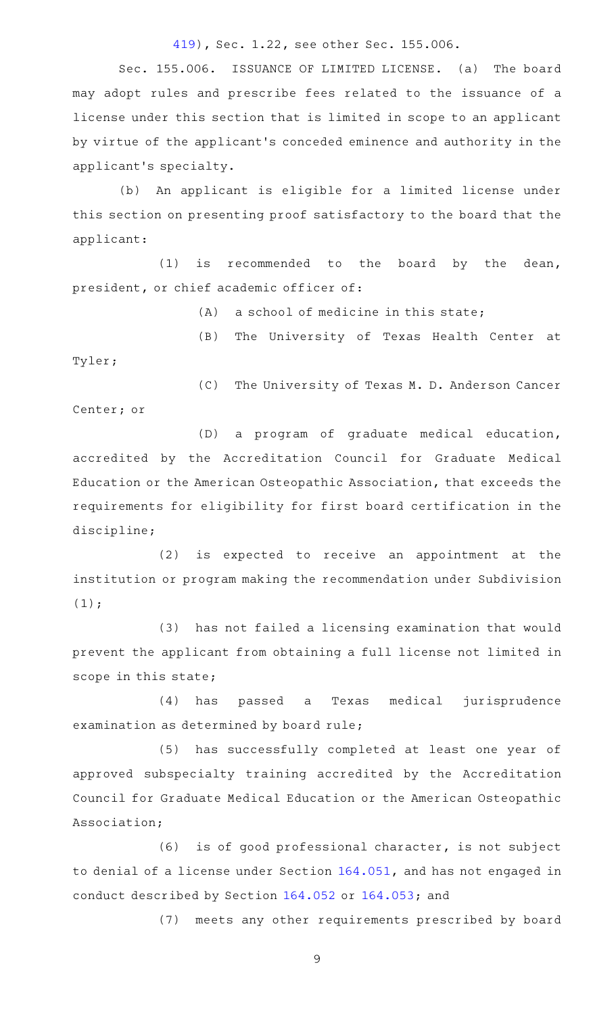#### [419](http://www.legis.state.tx.us/tlodocs/79R/billtext/html/SB00419F.HTM)), Sec. 1.22, see other Sec. 155.006.

Sec. 155.006. ISSUANCE OF LIMITED LICENSE. (a) The board may adopt rules and prescribe fees related to the issuance of a license under this section that is limited in scope to an applicant by virtue of the applicant 's conceded eminence and authority in the applicant 's specialty.

(b) An applicant is eligible for a limited license under this section on presenting proof satisfactory to the board that the applicant:

 $(1)$  is recommended to the board by the dean, president, or chief academic officer of:

 $(A)$  a school of medicine in this state;

(B) The University of Texas Health Center at Tyler;

(C) The University of Texas M. D. Anderson Cancer Center; or

(D) a program of graduate medical education, accredited by the Accreditation Council for Graduate Medical Education or the American Osteopathic Association, that exceeds the requirements for eligibility for first board certification in the discipline;

(2) is expected to receive an appointment at the institution or program making the recommendation under Subdivision  $(1);$ 

(3) has not failed a licensing examination that would prevent the applicant from obtaining a full license not limited in scope in this state;

(4) has passed a Texas medical jurisprudence examination as determined by board rule;

(5) has successfully completed at least one year of approved subspecialty training accredited by the Accreditation Council for Graduate Medical Education or the American Osteopathic Association;

 $(6)$  is of good professional character, is not subject to denial of a license under Section [164.051](https://statutes.capitol.texas.gov/GetStatute.aspx?Code=OC&Value=164.051), and has not engaged in conduct described by Section [164.052](https://statutes.capitol.texas.gov/GetStatute.aspx?Code=OC&Value=164.052) or [164.053;](https://statutes.capitol.texas.gov/GetStatute.aspx?Code=OC&Value=164.053) and

(7) meets any other requirements prescribed by board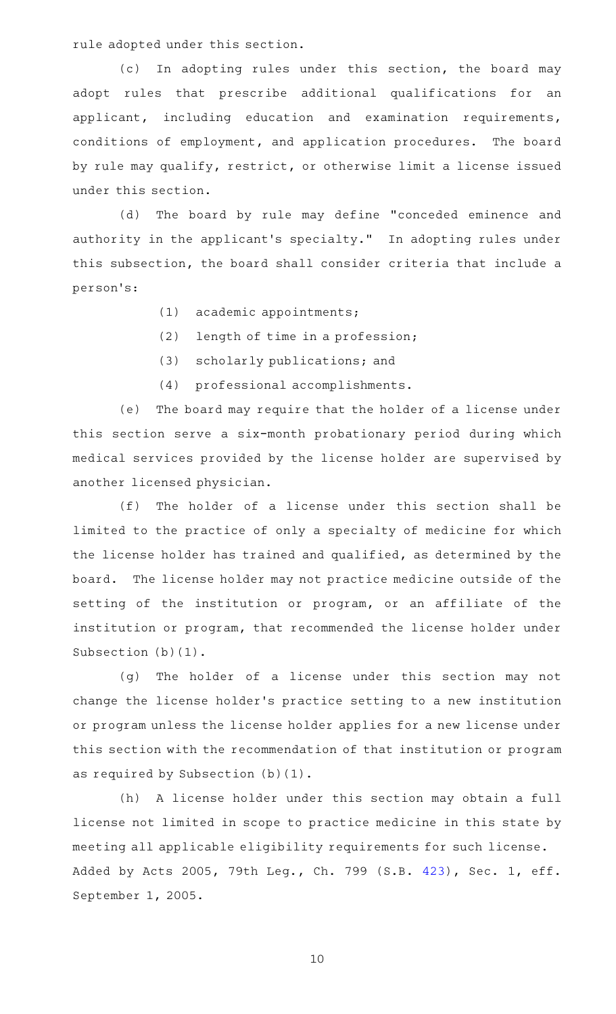rule adopted under this section.

(c) In adopting rules under this section, the board may adopt rules that prescribe additional qualifications for an applicant, including education and examination requirements, conditions of employment, and application procedures. The board by rule may qualify, restrict, or otherwise limit a license issued under this section.

(d) The board by rule may define "conceded eminence and authority in the applicant's specialty." In adopting rules under this subsection, the board shall consider criteria that include a person 's:

- (1) academic appointments;
- $(2)$  length of time in a profession;
- (3) scholarly publications; and
- (4) professional accomplishments.

(e) The board may require that the holder of a license under this section serve a six-month probationary period during which medical services provided by the license holder are supervised by another licensed physician.

(f) The holder of a license under this section shall be limited to the practice of only a specialty of medicine for which the license holder has trained and qualified, as determined by the board. The license holder may not practice medicine outside of the setting of the institution or program, or an affiliate of the institution or program, that recommended the license holder under Subsection (b)(1).

(g) The holder of a license under this section may not change the license holder 's practice setting to a new institution or program unless the license holder applies for a new license under this section with the recommendation of that institution or program as required by Subsection (b)(1).

(h) A license holder under this section may obtain a full license not limited in scope to practice medicine in this state by meeting all applicable eligibility requirements for such license. Added by Acts 2005, 79th Leg., Ch. 799 (S.B. [423](http://www.legis.state.tx.us/tlodocs/79R/billtext/html/SB00423F.HTM)), Sec. 1, eff. September 1, 2005.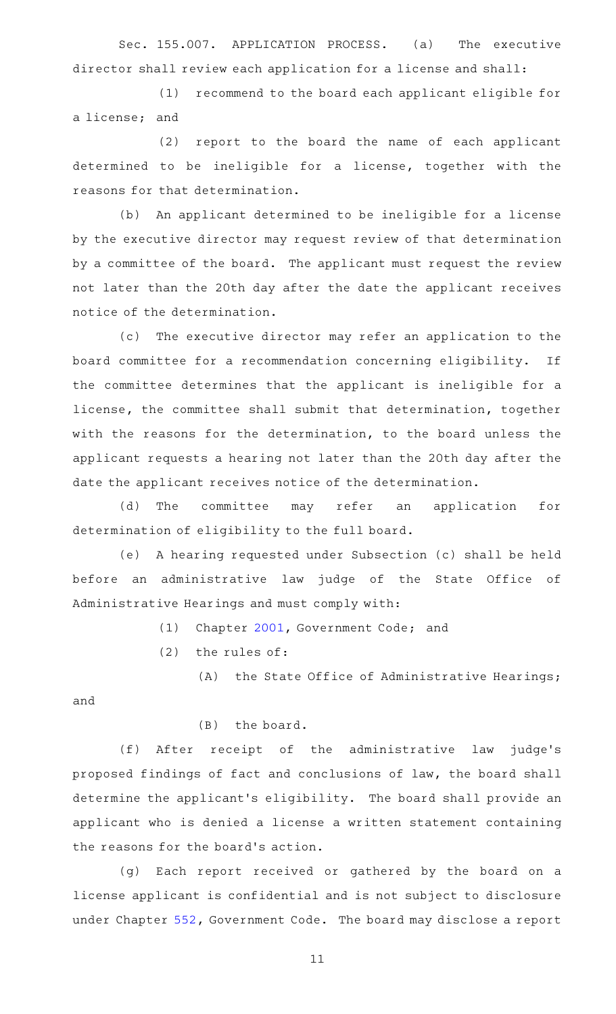Sec. 155.007. APPLICATION PROCESS. (a) The executive director shall review each application for a license and shall:

(1) recommend to the board each applicant eligible for a license; and

(2) report to the board the name of each applicant determined to be ineligible for a license, together with the reasons for that determination.

(b) An applicant determined to be ineligible for a license by the executive director may request review of that determination by a committee of the board. The applicant must request the review not later than the 20th day after the date the applicant receives notice of the determination.

(c) The executive director may refer an application to the board committee for a recommendation concerning eligibility. If the committee determines that the applicant is ineligible for a license, the committee shall submit that determination, together with the reasons for the determination, to the board unless the applicant requests a hearing not later than the 20th day after the date the applicant receives notice of the determination.

(d) The committee may refer an application for determination of eligibility to the full board.

(e) A hearing requested under Subsection (c) shall be held before an administrative law judge of the State Office of Administrative Hearings and must comply with:

(1) Chapter [2001](https://statutes.capitol.texas.gov/GetStatute.aspx?Code=GV&Value=2001), Government Code; and

 $(2)$  the rules of:

 $(A)$  the State Office of Administrative Hearings; and

### $(B)$  the board.

(f) After receipt of the administrative law judge's proposed findings of fact and conclusions of law, the board shall determine the applicant 's eligibility. The board shall provide an applicant who is denied a license a written statement containing the reasons for the board's action.

(g) Each report received or gathered by the board on a license applicant is confidential and is not subject to disclosure under Chapter [552](https://statutes.capitol.texas.gov/GetStatute.aspx?Code=GV&Value=552), Government Code. The board may disclose a report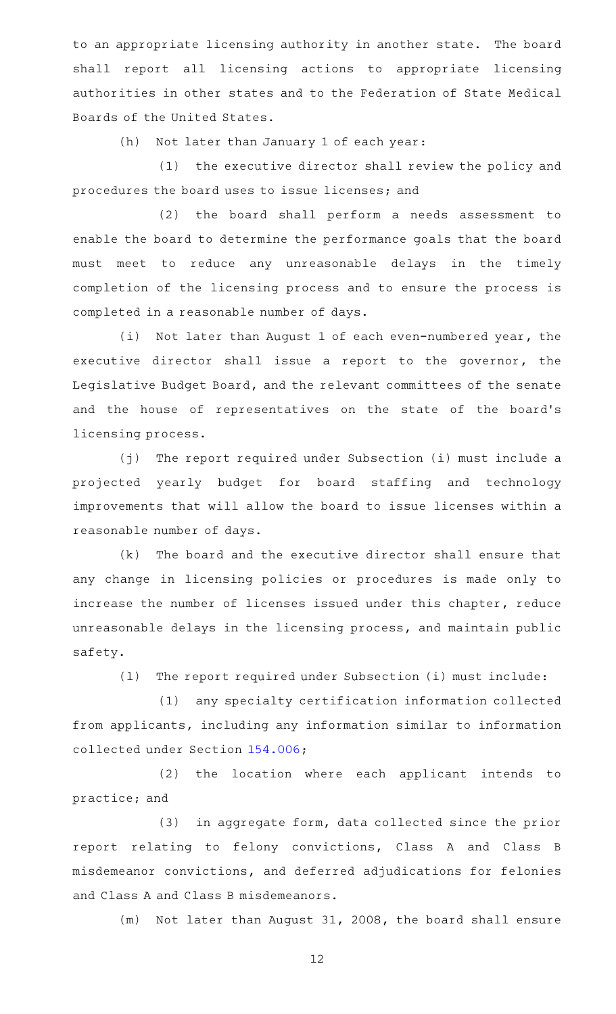to an appropriate licensing authority in another state. The board shall report all licensing actions to appropriate licensing authorities in other states and to the Federation of State Medical Boards of the United States.

 $(h)$  Not later than January 1 of each year:

(1) the executive director shall review the policy and procedures the board uses to issue licenses; and

(2) the board shall perform a needs assessment to enable the board to determine the performance goals that the board must meet to reduce any unreasonable delays in the timely completion of the licensing process and to ensure the process is completed in a reasonable number of days.

(i) Not later than August 1 of each even-numbered year, the executive director shall issue a report to the governor, the Legislative Budget Board, and the relevant committees of the senate and the house of representatives on the state of the board's licensing process.

(j) The report required under Subsection (i) must include a projected yearly budget for board staffing and technology improvements that will allow the board to issue licenses within a reasonable number of days.

 $(k)$  The board and the executive director shall ensure that any change in licensing policies or procedures is made only to increase the number of licenses issued under this chapter, reduce unreasonable delays in the licensing process, and maintain public safety.

(1) The report required under Subsection (i) must include:

(1) any specialty certification information collected from applicants, including any information similar to information collected under Section [154.006](https://statutes.capitol.texas.gov/GetStatute.aspx?Code=OC&Value=154.006);

(2) the location where each applicant intends to practice; and

(3) in aggregate form, data collected since the prior report relating to felony convictions, Class A and Class B misdemeanor convictions, and deferred adjudications for felonies and Class A and Class B misdemeanors.

(m) Not later than August 31, 2008, the board shall ensure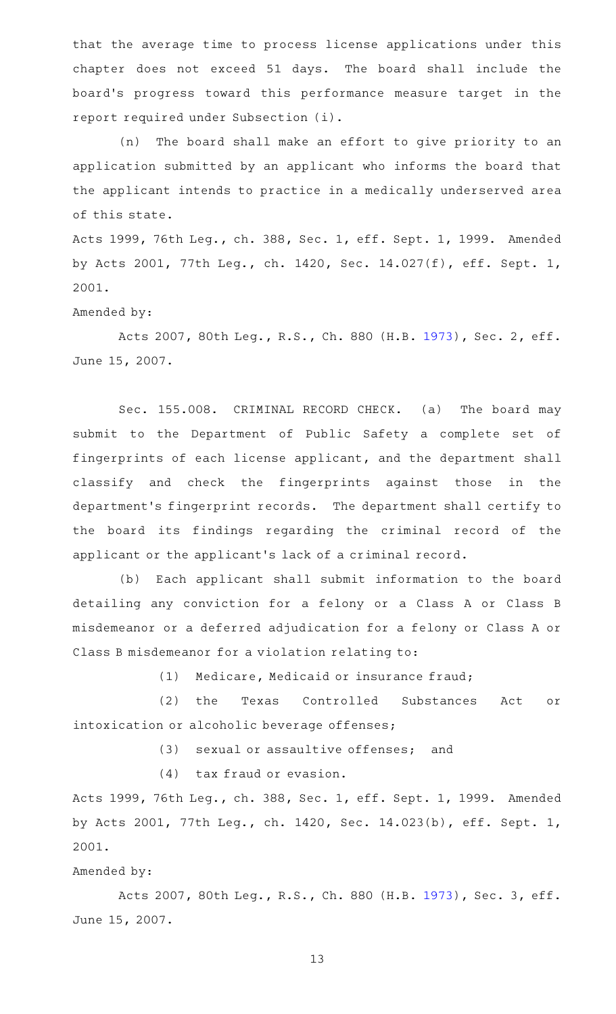that the average time to process license applications under this chapter does not exceed 51 days. The board shall include the board's progress toward this performance measure target in the report required under Subsection (i).

(n) The board shall make an effort to give priority to an application submitted by an applicant who informs the board that the applicant intends to practice in a medically underserved area of this state.

Acts 1999, 76th Leg., ch. 388, Sec. 1, eff. Sept. 1, 1999. Amended by Acts 2001, 77th Leg., ch. 1420, Sec. 14.027(f), eff. Sept. 1, 2001.

Amended by:

Acts 2007, 80th Leg., R.S., Ch. 880 (H.B. [1973](http://www.legis.state.tx.us/tlodocs/80R/billtext/html/HB01973F.HTM)), Sec. 2, eff. June 15, 2007.

Sec. 155.008. CRIMINAL RECORD CHECK. (a) The board may submit to the Department of Public Safety a complete set of fingerprints of each license applicant, and the department shall classify and check the fingerprints against those in the department's fingerprint records. The department shall certify to the board its findings regarding the criminal record of the applicant or the applicant 's lack of a criminal record.

(b) Each applicant shall submit information to the board detailing any conviction for a felony or a Class A or Class B misdemeanor or a deferred adjudication for a felony or Class A or Class B misdemeanor for a violation relating to:

(1) Medicare, Medicaid or insurance fraud;

(2) the Texas Controlled Substances Act or intoxication or alcoholic beverage offenses;

(3) sexual or assaultive offenses; and

 $(4)$  tax fraud or evasion.

Acts 1999, 76th Leg., ch. 388, Sec. 1, eff. Sept. 1, 1999. Amended by Acts 2001, 77th Leg., ch. 1420, Sec. 14.023(b), eff. Sept. 1, 2001.

#### Amended by:

Acts 2007, 80th Leg., R.S., Ch. 880 (H.B. [1973](http://www.legis.state.tx.us/tlodocs/80R/billtext/html/HB01973F.HTM)), Sec. 3, eff. June 15, 2007.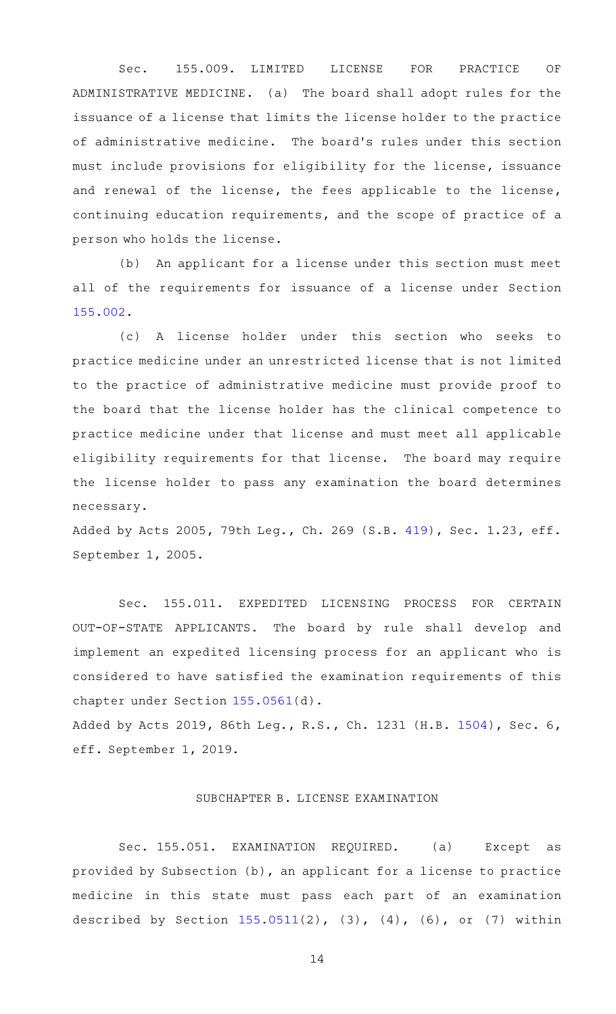Sec. 155.009. LIMITED LICENSE FOR PRACTICE OF ADMINISTRATIVE MEDICINE. (a) The board shall adopt rules for the issuance of a license that limits the license holder to the practice of administrative medicine. The board's rules under this section must include provisions for eligibility for the license, issuance and renewal of the license, the fees applicable to the license, continuing education requirements, and the scope of practice of a person who holds the license.

(b) An applicant for a license under this section must meet all of the requirements for issuance of a license under Section [155.002.](https://statutes.capitol.texas.gov/GetStatute.aspx?Code=OC&Value=155.002)

(c)AAA license holder under this section who seeks to practice medicine under an unrestricted license that is not limited to the practice of administrative medicine must provide proof to the board that the license holder has the clinical competence to practice medicine under that license and must meet all applicable eligibility requirements for that license. The board may require the license holder to pass any examination the board determines necessary.

Added by Acts 2005, 79th Leg., Ch. 269 (S.B. [419](http://www.legis.state.tx.us/tlodocs/79R/billtext/html/SB00419F.HTM)), Sec. 1.23, eff. September 1, 2005.

Sec. 155.011. EXPEDITED LICENSING PROCESS FOR CERTAIN OUT-OF-STATE APPLICANTS. The board by rule shall develop and implement an expedited licensing process for an applicant who is considered to have satisfied the examination requirements of this chapter under Section [155.0561\(](https://statutes.capitol.texas.gov/GetStatute.aspx?Code=OC&Value=155.0561)d).

Added by Acts 2019, 86th Leg., R.S., Ch. 1231 (H.B. [1504\)](http://www.legis.state.tx.us/tlodocs/86R/billtext/html/HB01504F.HTM), Sec. 6, eff. September 1, 2019.

## SUBCHAPTER B. LICENSE EXAMINATION

Sec. 155.051. EXAMINATION REQUIRED. (a) Except as provided by Subsection (b), an applicant for a license to practice medicine in this state must pass each part of an examination described by Section [155.0511\(](https://statutes.capitol.texas.gov/GetStatute.aspx?Code=OC&Value=155.0511)2), (3), (4), (6), or (7) within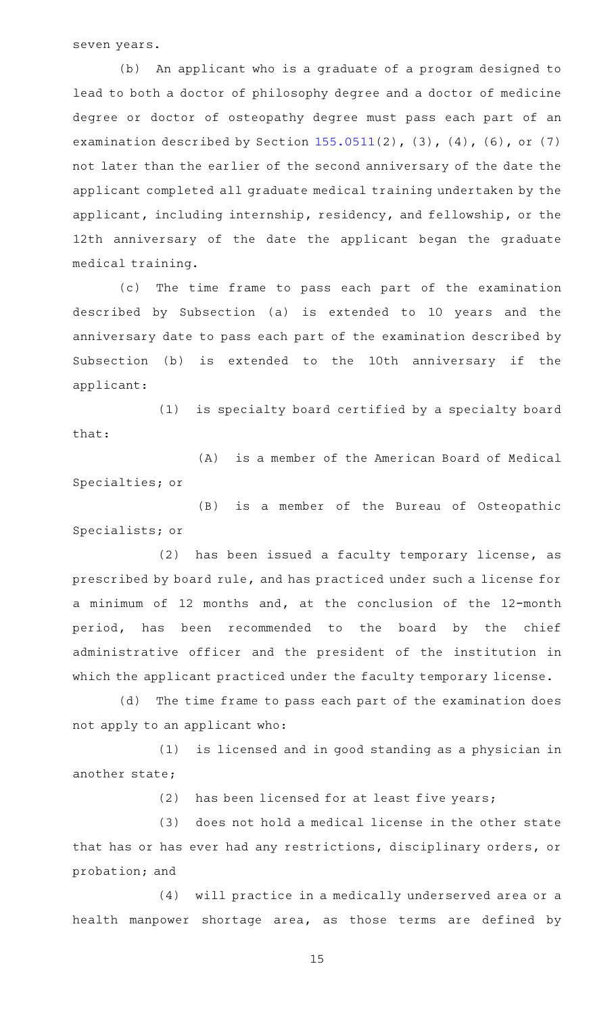seven years.

(b) An applicant who is a graduate of a program designed to lead to both a doctor of philosophy degree and a doctor of medicine degree or doctor of osteopathy degree must pass each part of an examination described by Section  $155.0511(2)$  $155.0511(2)$ ,  $(3)$ ,  $(4)$ ,  $(6)$ , or  $(7)$ not later than the earlier of the second anniversary of the date the applicant completed all graduate medical training undertaken by the applicant, including internship, residency, and fellowship, or the 12th anniversary of the date the applicant began the graduate medical training.

(c) The time frame to pass each part of the examination described by Subsection (a) is extended to 10 years and the anniversary date to pass each part of the examination described by Subsection (b) is extended to the 10th anniversary if the applicant:

(1) is specialty board certified by a specialty board that:

(A) is a member of the American Board of Medical Specialties; or

(B) is a member of the Bureau of Osteopathic Specialists; or

 $(2)$  has been issued a faculty temporary license, as prescribed by board rule, and has practiced under such a license for a minimum of 12 months and, at the conclusion of the 12-month period, has been recommended to the board by the chief administrative officer and the president of the institution in which the applicant practiced under the faculty temporary license.

(d) The time frame to pass each part of the examination does not apply to an applicant who:

(1) is licensed and in good standing as a physician in another state;

 $(2)$  has been licensed for at least five years;

(3) does not hold a medical license in the other state that has or has ever had any restrictions, disciplinary orders, or probation; and

(4) will practice in a medically underserved area or a health manpower shortage area, as those terms are defined by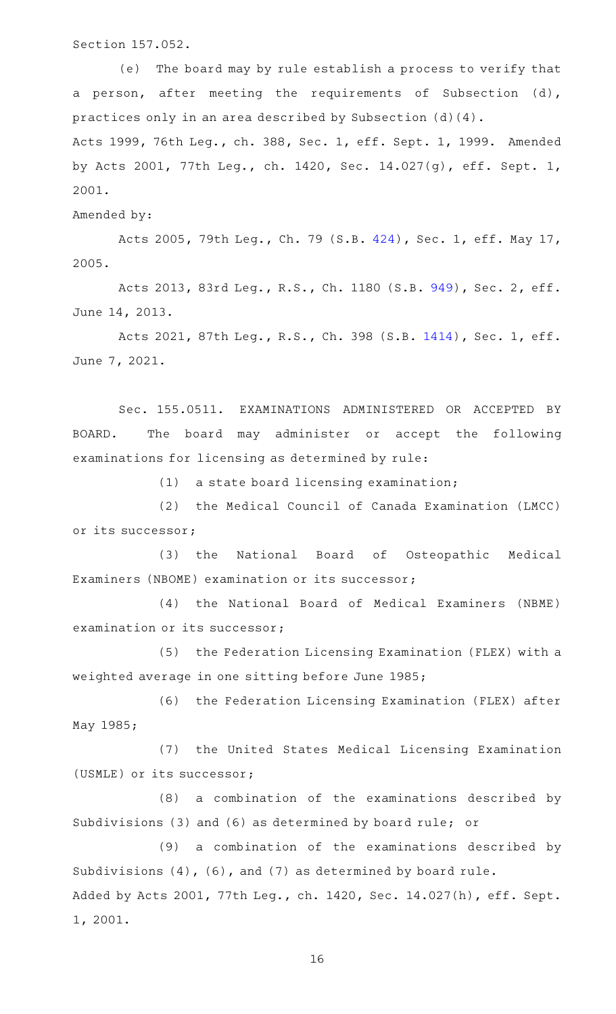Section 157.052.

(e) The board may by rule establish a process to verify that a person, after meeting the requirements of Subsection (d), practices only in an area described by Subsection (d)(4).

Acts 1999, 76th Leg., ch. 388, Sec. 1, eff. Sept. 1, 1999. Amended by Acts 2001, 77th Leg., ch. 1420, Sec. 14.027(g), eff. Sept. 1, 2001.

Amended by:

Acts 2005, 79th Leg., Ch. 79 (S.B. [424\)](http://www.legis.state.tx.us/tlodocs/79R/billtext/html/SB00424F.HTM), Sec. 1, eff. May 17, 2005.

Acts 2013, 83rd Leg., R.S., Ch. 1180 (S.B. [949](http://www.legis.state.tx.us/tlodocs/83R/billtext/html/SB00949F.HTM)), Sec. 2, eff. June 14, 2013.

Acts 2021, 87th Leg., R.S., Ch. 398 (S.B. [1414](http://www.legis.state.tx.us/tlodocs/87R/billtext/html/SB01414F.HTM)), Sec. 1, eff. June 7, 2021.

Sec. 155.0511. EXAMINATIONS ADMINISTERED OR ACCEPTED BY BOARD. The board may administer or accept the following examinations for licensing as determined by rule:

 $(1)$  a state board licensing examination;

(2) the Medical Council of Canada Examination (LMCC) or its successor;

(3) the National Board of Osteopathic Medical Examiners (NBOME) examination or its successor;

(4) the National Board of Medical Examiners (NBME) examination or its successor;

(5) the Federation Licensing Examination (FLEX) with a weighted average in one sitting before June 1985;

(6) the Federation Licensing Examination (FLEX) after May 1985;

(7) the United States Medical Licensing Examination (USMLE) or its successor;

(8) a combination of the examinations described by Subdivisions (3) and (6) as determined by board rule; or

(9) a combination of the examinations described by Subdivisions (4), (6), and (7) as determined by board rule. Added by Acts 2001, 77th Leg., ch. 1420, Sec. 14.027(h), eff. Sept. 1, 2001.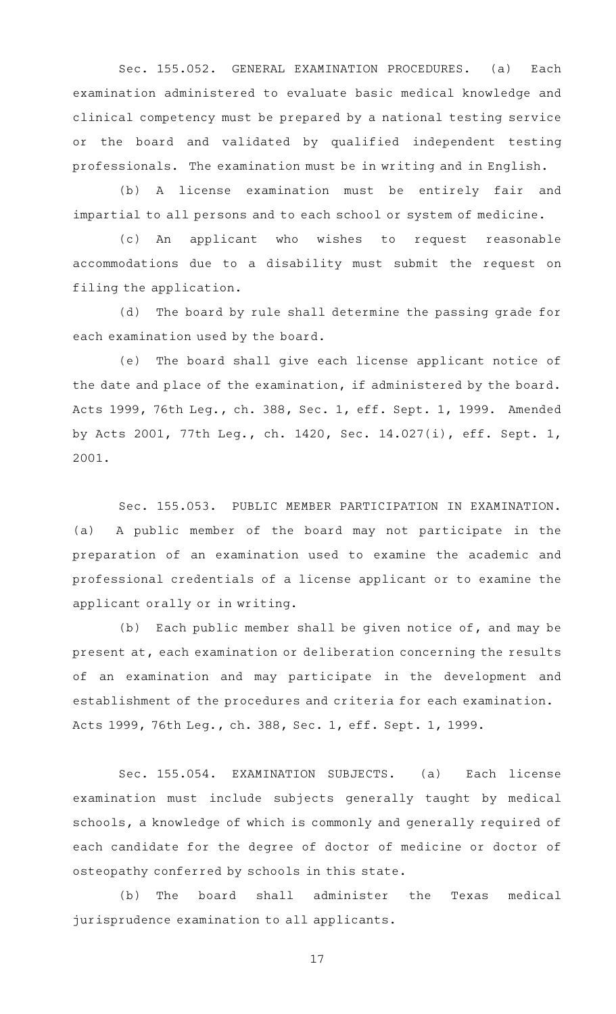Sec. 155.052. GENERAL EXAMINATION PROCEDURES. (a) Each examination administered to evaluate basic medical knowledge and clinical competency must be prepared by a national testing service or the board and validated by qualified independent testing professionals. The examination must be in writing and in English.

(b) A license examination must be entirely fair and impartial to all persons and to each school or system of medicine.

(c) An applicant who wishes to request reasonable accommodations due to a disability must submit the request on filing the application.

(d) The board by rule shall determine the passing grade for each examination used by the board.

(e) The board shall give each license applicant notice of the date and place of the examination, if administered by the board. Acts 1999, 76th Leg., ch. 388, Sec. 1, eff. Sept. 1, 1999. Amended by Acts 2001, 77th Leg., ch. 1420, Sec. 14.027(i), eff. Sept. 1, 2001.

Sec. 155.053. PUBLIC MEMBER PARTICIPATION IN EXAMINATION. (a) A public member of the board may not participate in the preparation of an examination used to examine the academic and professional credentials of a license applicant or to examine the applicant orally or in writing.

(b) Each public member shall be given notice of, and may be present at, each examination or deliberation concerning the results of an examination and may participate in the development and establishment of the procedures and criteria for each examination. Acts 1999, 76th Leg., ch. 388, Sec. 1, eff. Sept. 1, 1999.

Sec. 155.054. EXAMINATION SUBJECTS. (a) Each license examination must include subjects generally taught by medical schools, a knowledge of which is commonly and generally required of each candidate for the degree of doctor of medicine or doctor of osteopathy conferred by schools in this state.

(b) The board shall administer the Texas medical jurisprudence examination to all applicants.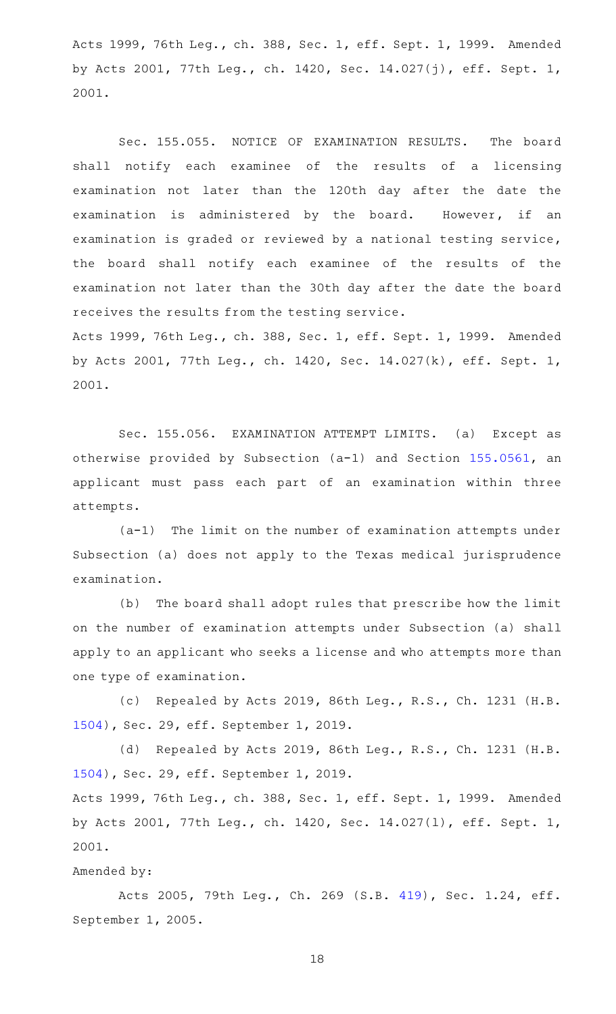Acts 1999, 76th Leg., ch. 388, Sec. 1, eff. Sept. 1, 1999. Amended by Acts 2001, 77th Leg., ch. 1420, Sec. 14.027(j), eff. Sept. 1, 2001.

Sec. 155.055. NOTICE OF EXAMINATION RESULTS. The board shall notify each examinee of the results of a licensing examination not later than the 120th day after the date the examination is administered by the board. However, if an examination is graded or reviewed by a national testing service, the board shall notify each examinee of the results of the examination not later than the 30th day after the date the board receives the results from the testing service.

Acts 1999, 76th Leg., ch. 388, Sec. 1, eff. Sept. 1, 1999. Amended by Acts 2001, 77th Leg., ch. 1420, Sec. 14.027(k), eff. Sept. 1, 2001.

Sec. 155.056. EXAMINATION ATTEMPT LIMITS. (a) Except as otherwise provided by Subsection (a-1) and Section [155.0561,](https://statutes.capitol.texas.gov/GetStatute.aspx?Code=OC&Value=155.0561) an applicant must pass each part of an examination within three attempts.

 $(a-1)$  The limit on the number of examination attempts under Subsection (a) does not apply to the Texas medical jurisprudence examination.

(b) The board shall adopt rules that prescribe how the limit on the number of examination attempts under Subsection (a) shall apply to an applicant who seeks a license and who attempts more than one type of examination.

(c) Repealed by Acts 2019, 86th Leg., R.S., Ch. 1231 (H.B. [1504](http://www.legis.state.tx.us/tlodocs/86R/billtext/html/HB01504F.HTM)), Sec. 29, eff. September 1, 2019.

(d) Repealed by Acts 2019, 86th Leg., R.S., Ch. 1231 (H.B. [1504](http://www.legis.state.tx.us/tlodocs/86R/billtext/html/HB01504F.HTM)), Sec. 29, eff. September 1, 2019.

Acts 1999, 76th Leg., ch. 388, Sec. 1, eff. Sept. 1, 1999. Amended by Acts 2001, 77th Leg., ch. 1420, Sec. 14.027(l), eff. Sept. 1, 2001.

#### Amended by:

Acts 2005, 79th Leg., Ch. 269 (S.B. [419](http://www.legis.state.tx.us/tlodocs/79R/billtext/html/SB00419F.HTM)), Sec. 1.24, eff. September 1, 2005.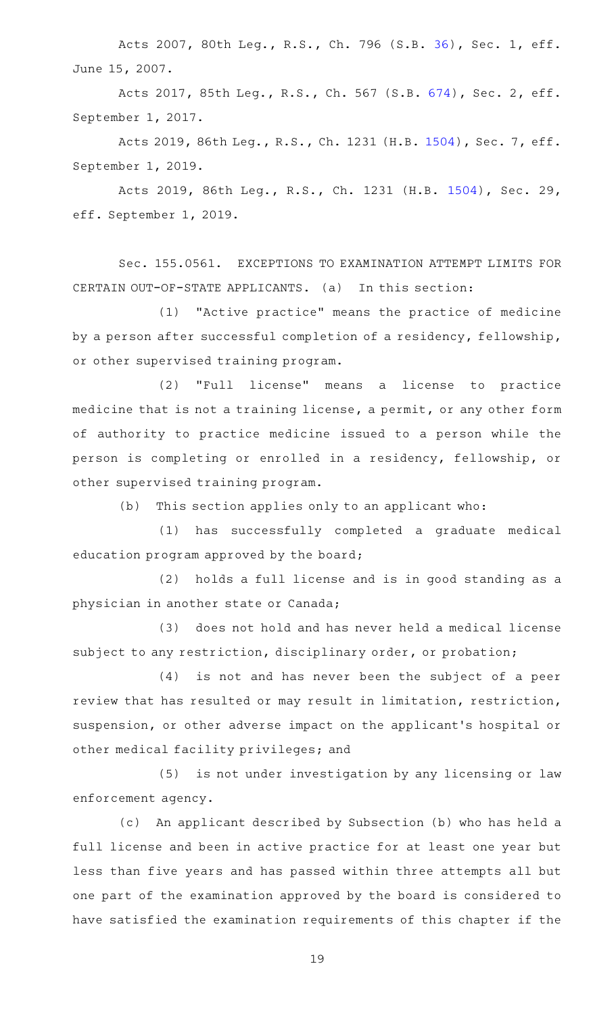Acts 2007, 80th Leg., R.S., Ch. 796 (S.B. [36](http://www.legis.state.tx.us/tlodocs/80R/billtext/html/SB00036F.HTM)), Sec. 1, eff. June 15, 2007.

Acts 2017, 85th Leg., R.S., Ch. 567 (S.B. [674](http://www.legis.state.tx.us/tlodocs/85R/billtext/html/SB00674F.HTM)), Sec. 2, eff. September 1, 2017.

Acts 2019, 86th Leg., R.S., Ch. 1231 (H.B. [1504](http://www.legis.state.tx.us/tlodocs/86R/billtext/html/HB01504F.HTM)), Sec. 7, eff. September 1, 2019.

Acts 2019, 86th Leg., R.S., Ch. 1231 (H.B. [1504](http://www.legis.state.tx.us/tlodocs/86R/billtext/html/HB01504F.HTM)), Sec. 29, eff. September 1, 2019.

Sec. 155.0561. EXCEPTIONS TO EXAMINATION ATTEMPT LIMITS FOR CERTAIN OUT-OF-STATE APPLICANTS. (a) In this section:

(1) "Active practice" means the practice of medicine by a person after successful completion of a residency, fellowship, or other supervised training program.

(2) "Full license" means a license to practice medicine that is not a training license, a permit, or any other form of authority to practice medicine issued to a person while the person is completing or enrolled in a residency, fellowship, or other supervised training program.

 $(b)$  This section applies only to an applicant who:

(1) has successfully completed a graduate medical education program approved by the board;

(2) holds a full license and is in good standing as a physician in another state or Canada;

(3) does not hold and has never held a medical license subject to any restriction, disciplinary order, or probation;

 $(4)$  is not and has never been the subject of a peer review that has resulted or may result in limitation, restriction, suspension, or other adverse impact on the applicant 's hospital or other medical facility privileges; and

(5) is not under investigation by any licensing or law enforcement agency.

(c) An applicant described by Subsection (b) who has held a full license and been in active practice for at least one year but less than five years and has passed within three attempts all but one part of the examination approved by the board is considered to have satisfied the examination requirements of this chapter if the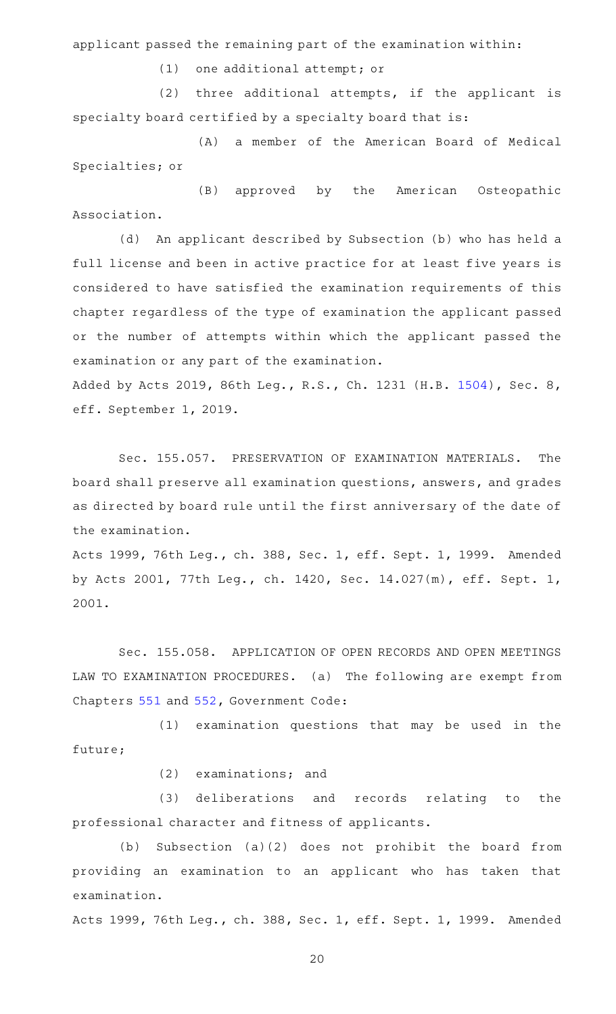applicant passed the remaining part of the examination within:

 $(1)$  one additional attempt; or

 $(2)$  three additional attempts, if the applicant is specialty board certified by a specialty board that is:

(A) a member of the American Board of Medical Specialties; or

(B) approved by the American Osteopathic Association.

(d) An applicant described by Subsection (b) who has held a full license and been in active practice for at least five years is considered to have satisfied the examination requirements of this chapter regardless of the type of examination the applicant passed or the number of attempts within which the applicant passed the examination or any part of the examination.

Added by Acts 2019, 86th Leg., R.S., Ch. 1231 (H.B. [1504\)](http://www.legis.state.tx.us/tlodocs/86R/billtext/html/HB01504F.HTM), Sec. 8, eff. September 1, 2019.

Sec. 155.057. PRESERVATION OF EXAMINATION MATERIALS. The board shall preserve all examination questions, answers, and grades as directed by board rule until the first anniversary of the date of the examination.

Acts 1999, 76th Leg., ch. 388, Sec. 1, eff. Sept. 1, 1999. Amended by Acts 2001, 77th Leg., ch. 1420, Sec. 14.027(m), eff. Sept. 1, 2001.

Sec. 155.058. APPLICATION OF OPEN RECORDS AND OPEN MEETINGS LAW TO EXAMINATION PROCEDURES. (a) The following are exempt from Chapters [551](https://statutes.capitol.texas.gov/GetStatute.aspx?Code=GV&Value=551) and [552](https://statutes.capitol.texas.gov/GetStatute.aspx?Code=GV&Value=552), Government Code:

(1) examination questions that may be used in the future;

 $(2)$  examinations; and

(3) deliberations and records relating to the professional character and fitness of applicants.

(b) Subsection (a)(2) does not prohibit the board from providing an examination to an applicant who has taken that examination.

Acts 1999, 76th Leg., ch. 388, Sec. 1, eff. Sept. 1, 1999. Amended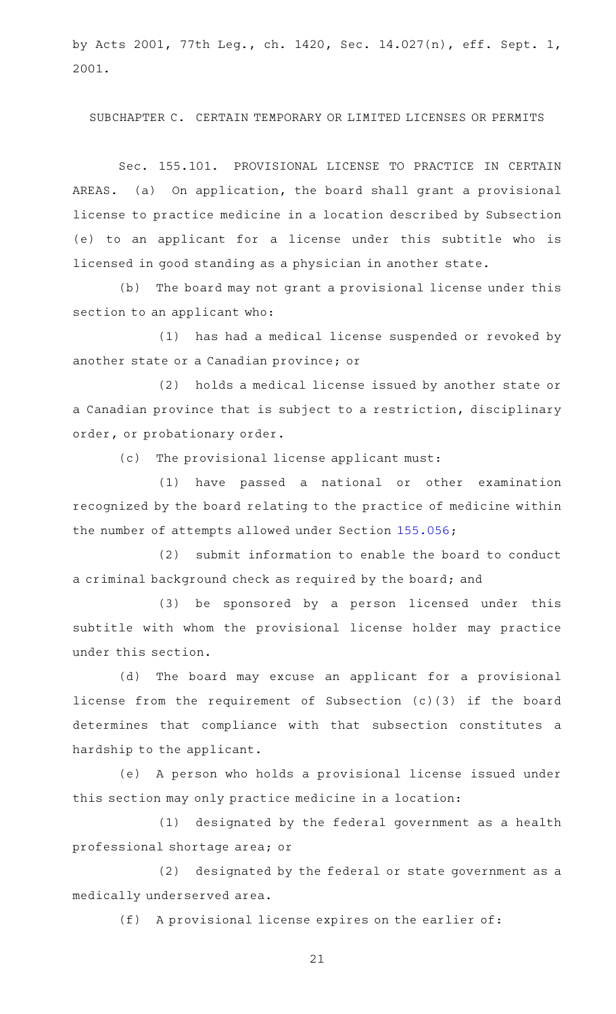by Acts 2001, 77th Leg., ch. 1420, Sec. 14.027(n), eff. Sept. 1, 2001.

SUBCHAPTER C. CERTAIN TEMPORARY OR LIMITED LICENSES OR PERMITS

Sec. 155.101. PROVISIONAL LICENSE TO PRACTICE IN CERTAIN AREAS. (a) On application, the board shall grant a provisional license to practice medicine in a location described by Subsection (e) to an applicant for a license under this subtitle who is licensed in good standing as a physician in another state.

(b) The board may not grant a provisional license under this section to an applicant who:

(1) has had a medical license suspended or revoked by another state or a Canadian province; or

(2) holds a medical license issued by another state or a Canadian province that is subject to a restriction, disciplinary order, or probationary order.

(c) The provisional license applicant must:

(1) have passed a national or other examination recognized by the board relating to the practice of medicine within the number of attempts allowed under Section [155.056;](https://statutes.capitol.texas.gov/GetStatute.aspx?Code=OC&Value=155.056)

(2) submit information to enable the board to conduct a criminal background check as required by the board; and

(3) be sponsored by a person licensed under this subtitle with whom the provisional license holder may practice under this section.

(d) The board may excuse an applicant for a provisional license from the requirement of Subsection (c)(3) if the board determines that compliance with that subsection constitutes a hardship to the applicant.

(e) A person who holds a provisional license issued under this section may only practice medicine in a location:

(1) designated by the federal government as a health professional shortage area; or

(2) designated by the federal or state government as a medically underserved area.

(f) A provisional license expires on the earlier of: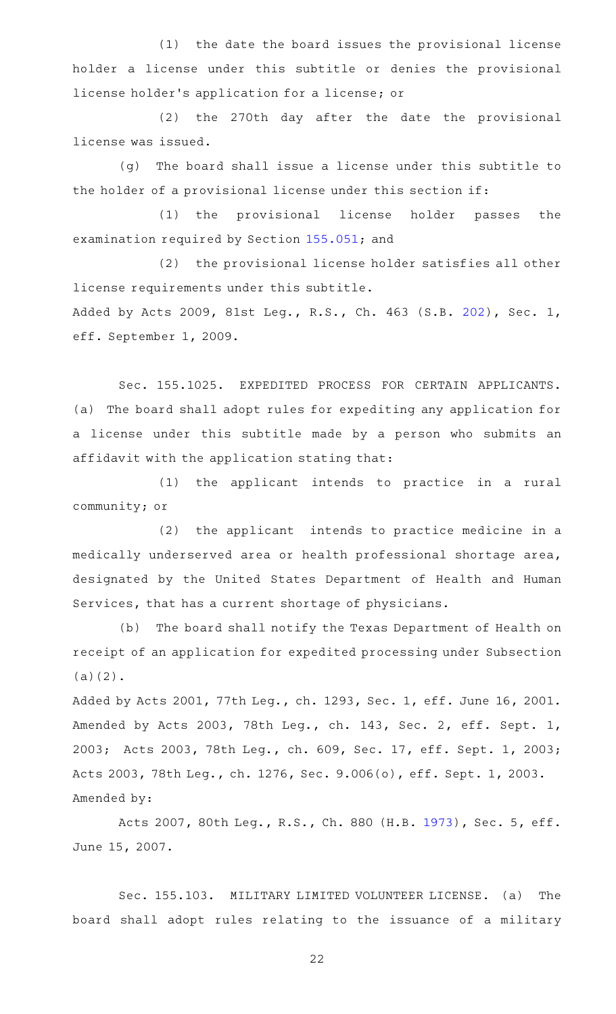(1) the date the board issues the provisional license holder a license under this subtitle or denies the provisional license holder 's application for a license; or

(2) the 270th day after the date the provisional license was issued.

(g) The board shall issue a license under this subtitle to the holder of a provisional license under this section if:

(1) the provisional license holder passes the examination required by Section [155.051](https://statutes.capitol.texas.gov/GetStatute.aspx?Code=OC&Value=155.051); and

(2) the provisional license holder satisfies all other license requirements under this subtitle.

Added by Acts 2009, 81st Leg., R.S., Ch. 463 (S.B. [202](http://www.legis.state.tx.us/tlodocs/81R/billtext/html/SB00202F.HTM)), Sec. 1, eff. September 1, 2009.

Sec. 155.1025. EXPEDITED PROCESS FOR CERTAIN APPLICANTS. (a) The board shall adopt rules for expediting any application for a license under this subtitle made by a person who submits an affidavit with the application stating that:

(1) the applicant intends to practice in a rural community; or

(2) the applicant intends to practice medicine in a medically underserved area or health professional shortage area, designated by the United States Department of Health and Human Services, that has a current shortage of physicians.

(b) The board shall notify the Texas Department of Health on receipt of an application for expedited processing under Subsection (a)(2).

Added by Acts 2001, 77th Leg., ch. 1293, Sec. 1, eff. June 16, 2001. Amended by Acts 2003, 78th Leg., ch. 143, Sec. 2, eff. Sept. 1, 2003; Acts 2003, 78th Leg., ch. 609, Sec. 17, eff. Sept. 1, 2003; Acts 2003, 78th Leg., ch. 1276, Sec. 9.006(o), eff. Sept. 1, 2003. Amended by:

Acts 2007, 80th Leg., R.S., Ch. 880 (H.B. [1973](http://www.legis.state.tx.us/tlodocs/80R/billtext/html/HB01973F.HTM)), Sec. 5, eff. June 15, 2007.

Sec. 155.103. MILITARY LIMITED VOLUNTEER LICENSE. (a) The board shall adopt rules relating to the issuance of a military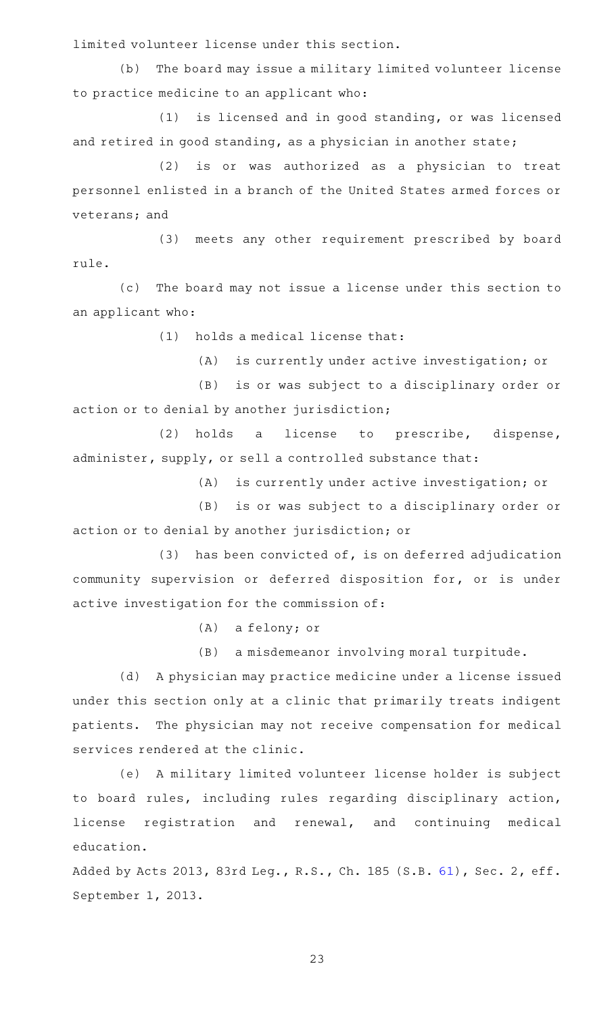limited volunteer license under this section.

(b) The board may issue a military limited volunteer license to practice medicine to an applicant who:

(1) is licensed and in good standing, or was licensed and retired in good standing, as a physician in another state;

(2) is or was authorized as a physician to treat personnel enlisted in a branch of the United States armed forces or veterans; and

(3) meets any other requirement prescribed by board rule.

(c) The board may not issue a license under this section to an applicant who:

 $(1)$  holds a medical license that:

(A) is currently under active investigation; or

(B) is or was subject to a disciplinary order or action or to denial by another jurisdiction;

(2) holds a license to prescribe, dispense, administer, supply, or sell a controlled substance that:

(A) is currently under active investigation; or

(B) is or was subject to a disciplinary order or action or to denial by another jurisdiction; or

 $(3)$  has been convicted of, is on deferred adjudication community supervision or deferred disposition for, or is under active investigation for the commission of:

(A) a felony; or

(B) a misdemeanor involving moral turpitude.

(d) A physician may practice medicine under a license issued under this section only at a clinic that primarily treats indigent patients. The physician may not receive compensation for medical services rendered at the clinic.

(e) A military limited volunteer license holder is subject to board rules, including rules regarding disciplinary action, license registration and renewal, and continuing medical education.

Added by Acts 2013, 83rd Leg., R.S., Ch. 185 (S.B. [61](http://www.legis.state.tx.us/tlodocs/83R/billtext/html/SB00061F.HTM)), Sec. 2, eff. September 1, 2013.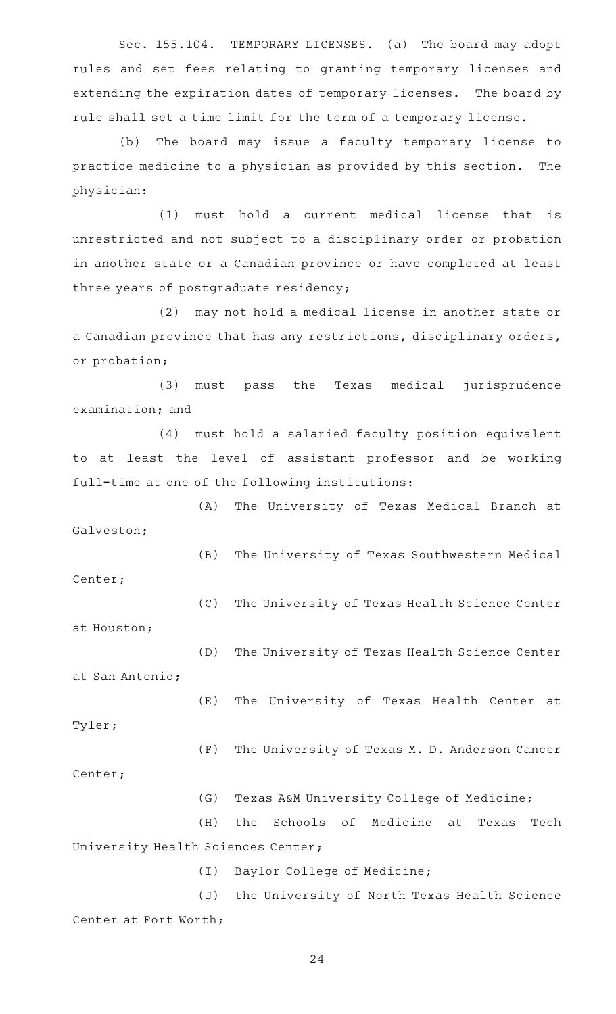Sec. 155.104. TEMPORARY LICENSES. (a) The board may adopt rules and set fees relating to granting temporary licenses and extending the expiration dates of temporary licenses. The board by rule shall set a time limit for the term of a temporary license.

(b) The board may issue a faculty temporary license to practice medicine to a physician as provided by this section. The physician:

(1) must hold a current medical license that is unrestricted and not subject to a disciplinary order or probation in another state or a Canadian province or have completed at least three years of postgraduate residency;

(2) may not hold a medical license in another state or a Canadian province that has any restrictions, disciplinary orders, or probation;

(3) must pass the Texas medical jurisprudence examination; and

(4) must hold a salaried faculty position equivalent to at least the level of assistant professor and be working full-time at one of the following institutions:

(A) The University of Texas Medical Branch at Galveston;

(B) The University of Texas Southwestern Medical

Center;

(C) The University of Texas Health Science Center

(E) The University of Texas Health Center at

at Houston;

(D) The University of Texas Health Science Center at San Antonio;

Tyler;

(F) The University of Texas M. D. Anderson Cancer Center;

(G) Texas A&M University College of Medicine;

(H) the Schools of Medicine at Texas Tech University Health Sciences Center;

(I) Baylor College of Medicine;

(J) the University of North Texas Health Science Center at Fort Worth;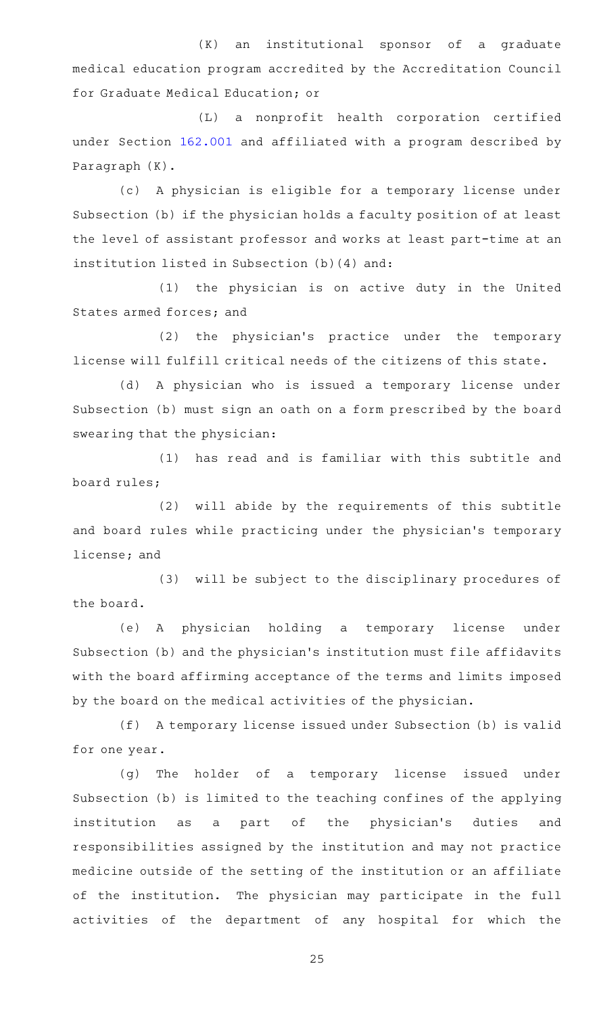$(K)$  an institutional sponsor of a graduate medical education program accredited by the Accreditation Council for Graduate Medical Education; or

(L) a nonprofit health corporation certified under Section [162.001](https://statutes.capitol.texas.gov/GetStatute.aspx?Code=OC&Value=162.001) and affiliated with a program described by Paragraph (K).

(c)AAA physician is eligible for a temporary license under Subsection (b) if the physician holds a faculty position of at least the level of assistant professor and works at least part-time at an institution listed in Subsection (b)(4) and:

(1) the physician is on active duty in the United States armed forces; and

(2) the physician's practice under the temporary license will fulfill critical needs of the citizens of this state.

(d) A physician who is issued a temporary license under Subsection (b) must sign an oath on a form prescribed by the board swearing that the physician:

(1) has read and is familiar with this subtitle and board rules;

(2) will abide by the requirements of this subtitle and board rules while practicing under the physician 's temporary license; and

(3) will be subject to the disciplinary procedures of the board.

(e)AAA physician holding a temporary license under Subsection (b) and the physician 's institution must file affidavits with the board affirming acceptance of the terms and limits imposed by the board on the medical activities of the physician.

(f) A temporary license issued under Subsection (b) is valid for one year.

(g) The holder of a temporary license issued under Subsection (b) is limited to the teaching confines of the applying institution as a part of the physician's duties and responsibilities assigned by the institution and may not practice medicine outside of the setting of the institution or an affiliate of the institution. The physician may participate in the full activities of the department of any hospital for which the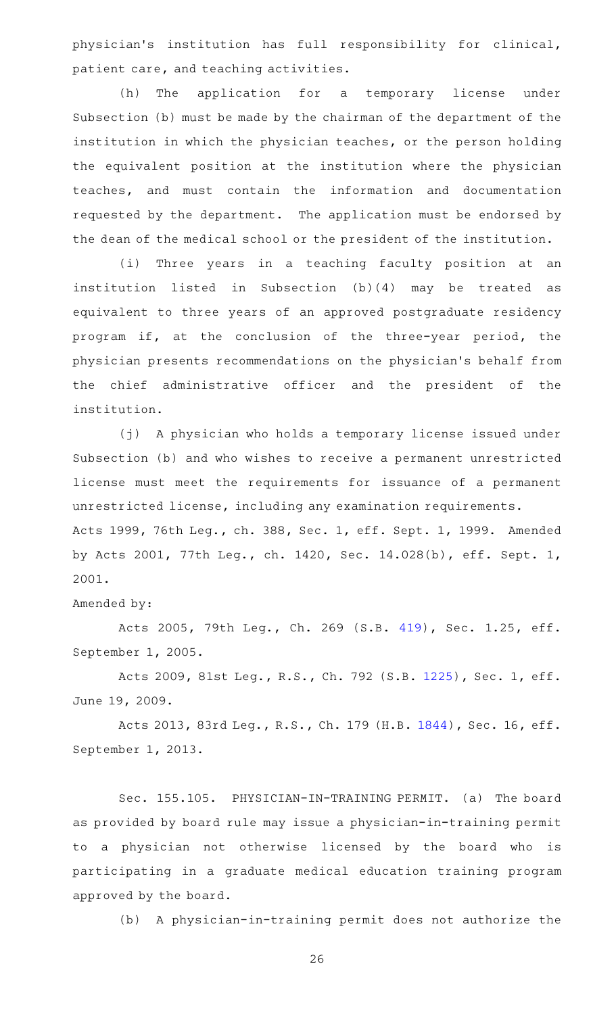physician's institution has full responsibility for clinical, patient care, and teaching activities.

(h) The application for a temporary license under Subsection (b) must be made by the chairman of the department of the institution in which the physician teaches, or the person holding the equivalent position at the institution where the physician teaches, and must contain the information and documentation requested by the department. The application must be endorsed by the dean of the medical school or the president of the institution.

(i) Three years in a teaching faculty position at an institution listed in Subsection (b)(4) may be treated as equivalent to three years of an approved postgraduate residency program if, at the conclusion of the three-year period, the physician presents recommendations on the physician 's behalf from the chief administrative officer and the president of the institution.

(j) A physician who holds a temporary license issued under Subsection (b) and who wishes to receive a permanent unrestricted license must meet the requirements for issuance of a permanent unrestricted license, including any examination requirements. Acts 1999, 76th Leg., ch. 388, Sec. 1, eff. Sept. 1, 1999. Amended by Acts 2001, 77th Leg., ch. 1420, Sec. 14.028(b), eff. Sept. 1, 2001.

## Amended by:

Acts 2005, 79th Leg., Ch. 269 (S.B. [419](http://www.legis.state.tx.us/tlodocs/79R/billtext/html/SB00419F.HTM)), Sec. 1.25, eff. September 1, 2005.

Acts 2009, 81st Leg., R.S., Ch. 792 (S.B. [1225](http://www.legis.state.tx.us/tlodocs/81R/billtext/html/SB01225F.HTM)), Sec. 1, eff. June 19, 2009.

Acts 2013, 83rd Leg., R.S., Ch. 179 (H.B. [1844\)](http://www.legis.state.tx.us/tlodocs/83R/billtext/html/HB01844F.HTM), Sec. 16, eff. September 1, 2013.

Sec. 155.105. PHYSICIAN-IN-TRAINING PERMIT. (a) The board as provided by board rule may issue a physician-in-training permit to a physician not otherwise licensed by the board who is participating in a graduate medical education training program approved by the board.

(b) A physician-in-training permit does not authorize the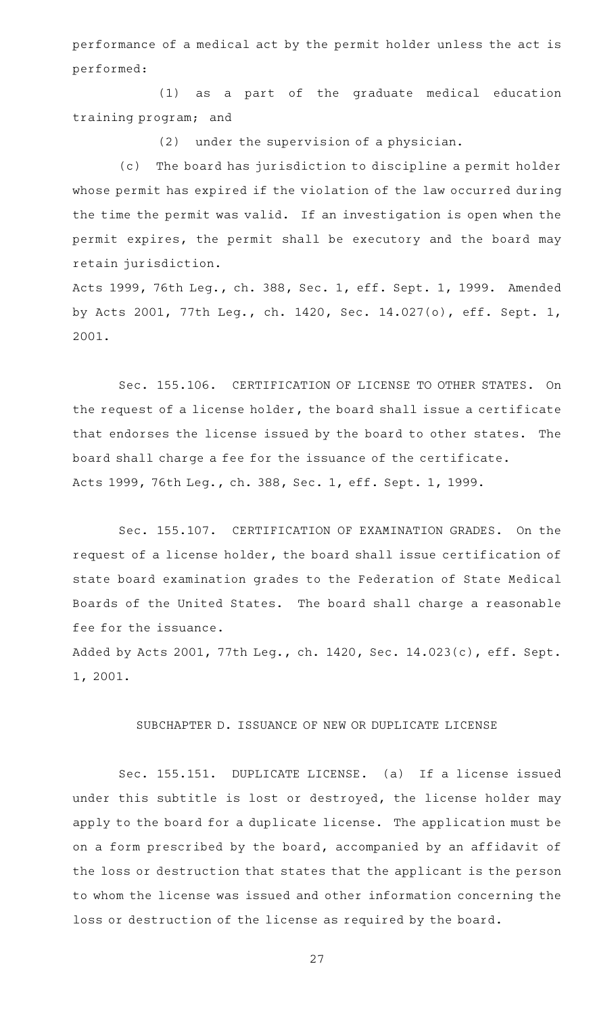performance of a medical act by the permit holder unless the act is performed:

(1) as a part of the graduate medical education training program; and

 $(2)$  under the supervision of a physician.

(c) The board has jurisdiction to discipline a permit holder whose permit has expired if the violation of the law occurred during the time the permit was valid. If an investigation is open when the permit expires, the permit shall be executory and the board may retain jurisdiction.

Acts 1999, 76th Leg., ch. 388, Sec. 1, eff. Sept. 1, 1999. Amended by Acts 2001, 77th Leg., ch. 1420, Sec. 14.027(o), eff. Sept. 1, 2001.

Sec. 155.106. CERTIFICATION OF LICENSE TO OTHER STATES. On the request of a license holder, the board shall issue a certificate that endorses the license issued by the board to other states. The board shall charge a fee for the issuance of the certificate. Acts 1999, 76th Leg., ch. 388, Sec. 1, eff. Sept. 1, 1999.

Sec. 155.107. CERTIFICATION OF EXAMINATION GRADES. On the request of a license holder, the board shall issue certification of state board examination grades to the Federation of State Medical Boards of the United States. The board shall charge a reasonable fee for the issuance.

Added by Acts 2001, 77th Leg., ch. 1420, Sec. 14.023(c), eff. Sept. 1, 2001.

#### SUBCHAPTER D. ISSUANCE OF NEW OR DUPLICATE LICENSE

Sec. 155.151. DUPLICATE LICENSE. (a) If a license issued under this subtitle is lost or destroyed, the license holder may apply to the board for a duplicate license. The application must be on a form prescribed by the board, accompanied by an affidavit of the loss or destruction that states that the applicant is the person to whom the license was issued and other information concerning the loss or destruction of the license as required by the board.